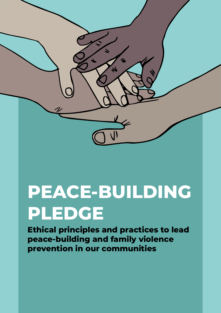**PEACE-BUILDING PLEDGE**

**Ethical principles and practices to lead peace-building and family violence prevention in our communities**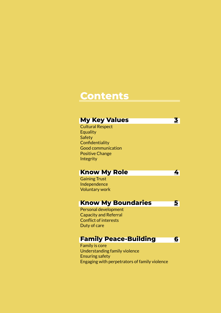## **Contents**

## **My Key Values**

Cultural Respect **Equality Safety Confidentiality** Good communication Positive Change **Integrity** 

## **Know My Role**

Gaining Trust Independence Voluntary work

### **Know My Boundaries**

Personal development Capacity and Referral Conflict of interests Duty of care

## **Family Peace-Building**

**[6](#page-5-0)**

**[3](#page-2-0)**

**[4](#page-3-0)**

**[5](#page-4-0)**

Family is core Understanding family violence Ensuring safety Engaging with perpetrators of family violence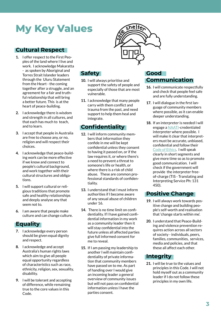# <span id="page-2-0"></span>**My Key Values**

#### **Cultural Respect**

- **1.** I offer respect to the First Peoples of the land where I live and work. I acknowledge Makaratta - as spoken by Aboriginal and Torres Strait Islander leaders through the Uluru Statement from the Heart - the coming together after a struggle, and an agreement for a fair and truthful relationship that will bring a better future. This is at the heart of peace-building.
- **2.** I acknowledge there is wisdom and strength in all cultures, and that each has much to teach, and to learn.
- **3.** I accept that people in Australia are free to choose any, or no, religion and will respect their choices.
- **4.** I acknowledge that peace-building work can be more effective if we know and connect to people's cultural background, and work together with their cultural structures and obligations.
- **5.** I will support cultural or religious traditions that promote safe and healthy relationships and deeply analyse any that seem not to.
- **6.** I am aware that people make culture and can change culture.

#### **Equality**

- **7.** I acknowledge every person should be given equal dignity and respect.
- **8.** I acknowledge and accept Australia's human rights laws which aim to give all people equal opportunity regardless of characteristics such as race, ethnicity, religion, sex, sexuality, disability.
- **9.** I will be tolerant and accepting of difference, while remaining true to the core values in this Code.



### **Safety**

- **10.** I will always prioritise and support the safety of people and especially of those that are most vulnerable.
- **11.** I acknowledge that many people carry with them conflict and trauma from the past, and need support to help them heal and integrate.

## **Confidentiality**

- **12.** I will inform community members that information they confide in me will be kept confidential unless they consent to having it passed on, or if the law requires it, or where there's a need to prevent a threat to someone's life or health, or where there is a risk of child abuse. These are common professional standards of confidentiality.
- **13.** I understand that I must inform authorities if I become aware of any sexual abuse of children under 16.
- **14.** There is no time limit on confidentiality. If I have gained confidential information in my work as a community leader then it will stay confidential into the future unless all affected parties give full informed consent for me to reveal.
- **15.** If I am passing my leadership to another I will maintain confidentiality of private information that community members have passed on to me. As part of handing over I would give an incoming leader a general overview of community issues but will not pass on confidential information unless I have the parties consent.

#### **Good Communication**

- **16.** I will communicate respectfully and check that people feel safe and are fully understanding.
- **17.** I will dialogue in the first language of community members where possible, as it can enable deeper understanding.
- **18.** If an interpreter is needed I will engage a [NAATI](https://www.naati.com.au/about-us/)-credentialed interpreter where possible. I will make it clear that interpreters must be accurate, unbiased, confidential and follow their [Code of Ethics](https://ausit.org/code-of-ethics/). I will speak clearly in short segments and give more time so as to promote good communication. I will check if the government will provide the interpreter freeof-charge (TIS - Translating and Interpreting Service Ph: 131 450).

#### **Positive Change**

- **19.** I will always work towards positive change and building people's self-worth and realisation that 'change starts within me'.
- **20.** I understand that Peace-Building and violence prevention requires action across all sectors of society - individuals, peers, families, communities, services, media and policies, and that these all affect each other.

#### **Integrity**

**21.** I will be true to the values and principles in this Code. I will not hold myself out as a community leader if I do not follow these principles in my own life.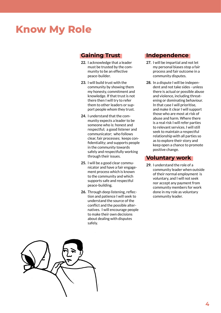## <span id="page-3-0"></span>**Know My Role**

#### **Gaining Trust**

- **22.** I acknowledge that a leader must be trusted by the community to be an effective peace-builder.
- **23.** I will build trust with the community by showing them my honesty, commitment and knowledge. If that trust is not there then I will try to refer them to other leaders or support people whom they trust.
- **24.** I understand that the community expects a leader to be someone who is: honest and respectful; a good listener and communicator; who follows clear, fair processes; keeps confidentiality; and supports people in the community towards safely and respectfully working through their issues.
- **25.** I will be a good clear communicator and have a fair engagement process which is known to the community and which supports safe and respectful peace-building.
- **26.** Through deep listening, reflection and patience I will seek to understand the source of the conflict and the possible alternatives. I will encourage people to make their own decisions about dealing with disputes safely.

#### **Independence**

- **27.** I will be impartial and not let my personal biases stop a fair process and fair outcome in a community disputes.
- **28.** In a dispute I will be independent and not take sides - unless there is actual or possible abuse and violence, including threatening or dominating behaviour. In that case I will prioritise, and make it clear I will support those who are most at risk of abuse and harm. Where there is a real risk I will refer parties to relevant services. I will still seek to maintain a respectful relationship with all parties so as to explore their story and keep open a chance to promote positive change.

#### **Voluntary work**

**29.** I understand the role of a community leader when outside of their normal employment is voluntary, and I will not seek nor accept any payment from community members for work done in my role as voluntary community leader.

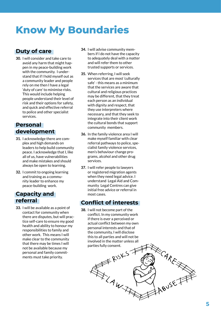## <span id="page-4-0"></span>**Know My Boundaries**

## **Duty of care**

**30.** I will consider and take care to avoid any harm that might hap pen in my peace-building work with the community. I under stand that if I hold myself out as a community leader and people rely on me then I have a legal 'duty of care' to minimise risks. This would include helping people understand their level of risk and their options for safety, and quick and effective referral to police and other specialist services.

#### **Personal development**

- **31.** I acknowledge there are com plex and high demands on leaders to help build community peace. I acknowledge that I, like all of us, have vulnerabilities and make mistakes and should always be open to learning.
- **32.** I commit to ongoing learning and training as a commu nity leader to enhance my peace-building work.

#### **Capacity and referral**

**33.** I will be available as a point of contact for community when there are disputes, but will prac tice self-care to ensure my good health and ability to honour my responsibilities to family and other work. This means I will make clear to the community that there may be times I will not be available because my personal and family commit ments must take priority.

- **34.** I will advise community mem bers if I do not have the capacity to adequately deal with a matter and will refer them to other trusted supports or services.
- **35.** When referring, I will seek services that are most 'culturally safe' - this means as a minimum that the services are aware that cultural and religious practices may be different, that they treat each person as an individual with dignity and respect, that they use interpreters where necessary, and that they seek to integrate into their client work the cultural bonds that support community members.
- **36.** In the family violence area I will make myself familiar with clear referral pathways to police, spe cialist family violence services, men's behaviour change pro grams, alcohol and other drug services.
- **37.** I will refer people to lawyers or registered migration agents when they need legal advice. I understand Legal Aid and Com munity Legal Centres can give initial free advice or referral in most cases.

#### **Conflict of interests**

**38.** I will not become part of the conflict. In my community work if there is ever a perceived or actual conflict between my own personal interests and that of the community, I will disclose this to all parties and will not be involved in the matter unless all

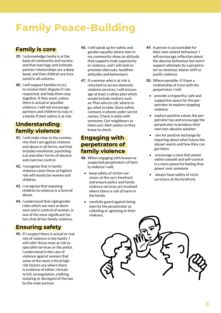# <span id="page-5-0"></span>**Family Peace-Building**

## **Family is core**

- **39.** I acknowledge family is at the basis of community and society, and that marriage and intimate partner relationships are a deep bond, and that children are treasured in all cultures.
- **40.** I will support families to try to resolve their dispute if I am requested, and help them stay together, if they want, unless there is actual or possible violence. I will not encourage partners and children to stay in a family if their safety is at risk.

## **Understanding family violence**

- **41.** I will make clear to the community that I am against violence and abuse in all forms, and that includes emotional, psychological and other forms of abusive and coercive control.
- **42.** I recognise that in family violence cases those at highest risk will mostly be women and children.
- **43.** I recognise that exposing children to violence is a form of abuse.
- **44.** I understand that rigid gender roles which see men as dominant and in control of women, is one of the most significant factors that drives family violence.

### **Ensuring safety**

**45.** If I suspect there is actual or real risk of violence in the family I will refer those most at risk to specialist services or the police. I understand in the case of violence against women that some of the most critical high risk factors are where there is evidence of either; threats to kill, strangulation, stalking, isolating or disregard of the law by the male partner.

- **46.** I will speak up for safety and gender equality where men in my community show an attitude that supports male superiority or violence, and I will seek to promote alternate, healthier attitudes and behaviours.
- **47.** If a woman who is at risk is reluctant to access domestic violence services, I will encourage at least a safety plan which would include matters such as: Plan who to call, where to go, what to take; Store safety contacts in phone under secret names; Check in daily with someone; Get neighbours to listen out; Alert police so they know to check.

#### **Engaging with perpetrators of family violence**

- **48.** When engaging with known or suspected perpetrators of family violence I will:
	- keep safety of victim-survivors at the very forefront and ensure police and family violence services are involved where there is risk of harm in the family
	- carefully guard against being seen by the perpetrator as colluding or agreeing to their violence.
- **49.** A person is accountable for their own violent behaviour. I will encourage reflection about the abusive behaviour but won't support attempts by a perpetrator to minimise, blame-shift or justify violence.
- **50.** Where possible, if I have a relationship of trust with the perpetrator, I will:
	- provide a respectful, safe and supportive space for the perpetrator to explore stopping violence
	- explore positive values the perpetrator has and encourage the perpetrator to produce their own non-abusive solution
	- aim for positive exchange by inquiring about what future the abuser wants and how they can get there
	- encourage a view that power within oneself and self-control is a more powerful feeling than power over someone
	- always have safety of vicim survivors at the forefront.